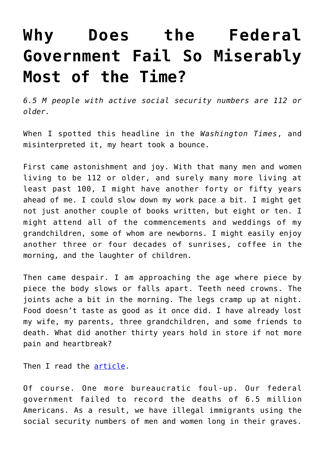## **[Why Does the Federal](https://intellectualtakeout.org/2019/02/why-does-the-federal-government-fail-so-miserably-most-of-the-time/) [Government Fail So Miserably](https://intellectualtakeout.org/2019/02/why-does-the-federal-government-fail-so-miserably-most-of-the-time/) [Most of the Time?](https://intellectualtakeout.org/2019/02/why-does-the-federal-government-fail-so-miserably-most-of-the-time/)**

*6.5 M people with active social security numbers are 112 or older.*

When I spotted this headline in the *Washington Times*, and misinterpreted it, my heart took a bounce.

First came astonishment and joy. With that many men and women living to be 112 or older, and surely many more living at least past 100, I might have another forty or fifty years ahead of me. I could slow down my work pace a bit. I might get not just another couple of books written, but eight or ten. I might attend all of the commencements and weddings of my grandchildren, some of whom are newborns. I might easily enjoy another three or four decades of sunrises, coffee in the morning, and the laughter of children.

Then came despair. I am approaching the age where piece by piece the body slows or falls apart. Teeth need crowns. The joints ache a bit in the morning. The legs cramp up at night. Food doesn't taste as good as it once did. I have already lost my wife, my parents, three grandchildren, and some friends to death. What did another thirty years hold in store if not more pain and heartbreak?

Then I read the [article](https://www.washingtontimes.com/news/2015/mar/10/65m-people-with-active-social-security-numbers-are/).

Of course. One more bureaucratic foul-up. Our federal government failed to record the deaths of 6.5 million Americans. As a result, we have illegal immigrants using the social security numbers of men and women long in their graves.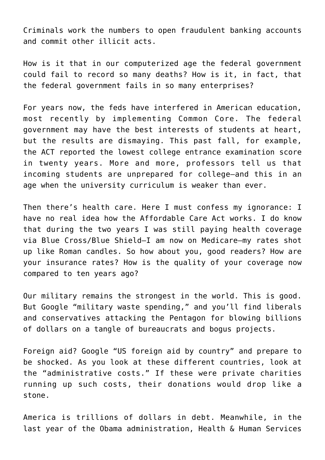Criminals work the numbers to open fraudulent banking accounts and commit other illicit acts.

How is it that in our computerized age the federal government could fail to record so many deaths? How is it, in fact, that the federal government fails in so many enterprises?

For years now, the feds have interfered in American education, most recently by implementing Common Core. The federal government may have the best interests of students at heart, but the results are dismaying. This past fall, for example, the ACT reported the lowest college entrance examination score in twenty years. More and more, professors tell us that incoming students are unprepared for college—and this in an age when the university curriculum is weaker than ever.

Then there's health care. Here I must confess my ignorance: I have no real idea how the Affordable Care Act works. I do know that during the two years I was still paying health coverage via Blue Cross/Blue Shield—I am now on Medicare—my rates shot up like Roman candles. So how about you, good readers? How are your insurance rates? How is the quality of your coverage now compared to ten years ago?

Our military remains the strongest in the world. This is good. But Google "military waste spending," and you'll find liberals and conservatives attacking the Pentagon for blowing billions of dollars on a tangle of bureaucrats and bogus projects.

Foreign aid? Google "US foreign aid by country" and prepare to be shocked. As you look at these different countries, look at the "administrative costs." If these were private charities running up such costs, their donations would drop like a stone.

America is trillions of dollars in debt. Meanwhile, in the last year of the Obama administration, Health & Human Services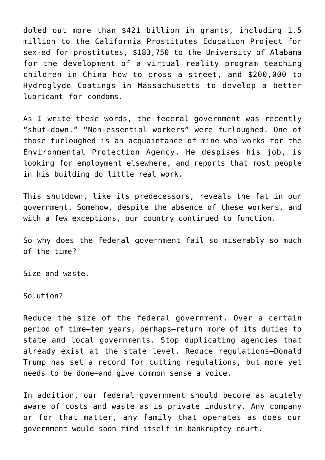doled out more than \$421 billion in grants, including 1.5 million to the California Prostitutes Education Project for sex-ed for prostitutes, \$183,750 to the University of Alabama for the development of a virtual reality program teaching children in China how to cross a street, and \$200,000 to Hydroglyde Coatings in Massachusetts to develop a better lubricant for condoms.

As I write these words, the federal government was recently "shut-down." "Non-essential workers" were furloughed. One of those furloughed is an acquaintance of mine who works for the Environmental Protection Agency. He despises his job, is looking for employment elsewhere, and reports that most people in his building do little real work.

This shutdown, like its predecessors, reveals the fat in our government. Somehow, despite the absence of these workers, and with a few exceptions, our country continued to function.

So why does the federal government fail so miserably so much of the time?

Size and waste.

Solution?

Reduce the size of the federal government. Over a certain period of time—ten years, perhaps–return more of its duties to state and local governments. Stop duplicating agencies that already exist at the state level. Reduce regulations—Donald Trump has set a record for cutting regulations, but more yet needs to be done—and give common sense a voice.

In addition, our federal government should become as acutely aware of costs and waste as is private industry. Any company or for that matter, any family that operates as does our government would soon find itself in bankruptcy court.